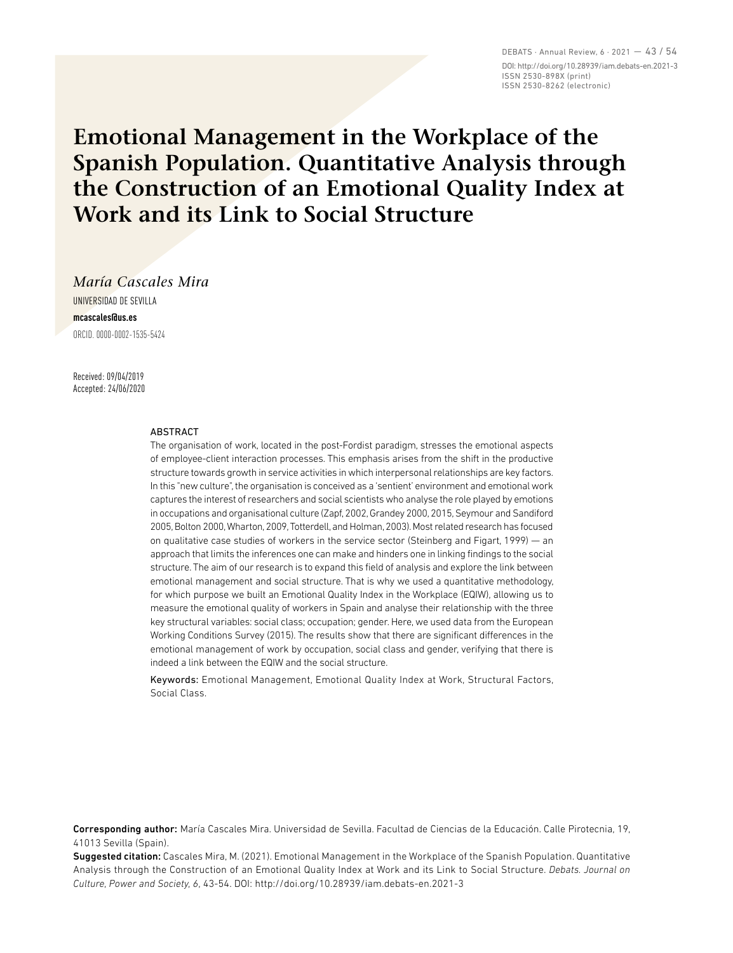DEBATS · Annual Review, 6 · 2021 — 43 / 54 DOI: http://doi.org/10.28939/iam.debats-en.2021-3 ISSN 2530-898X (print) ISSN 2530-8262 (electronic)

# **Emotional Management in the Workplace of the Spanish Population. Quantitative Analysis through the Construction of an Emotional Quality Index at Work and its Link to Social Structure**

*María Cascales Mira*

UNIVERSIDAD DE SEVILLA **mcascales@us.es** ORCID. 0000-0002-1535-5424

Received: 09/04/2019 Accepted: 24/06/2020

#### ABSTRACT

The organisation of work, located in the post-Fordist paradigm, stresses the emotional aspects of employee-client interaction processes. This emphasis arises from the shift in the productive structure towards growth in service activities in which interpersonal relationships are key factors. In this "new culture", the organisation is conceived as a 'sentient' environment and emotional work captures the interest of researchers and social scientists who analyse the role played by emotions in occupations and organisational culture (Zapf, 2002, Grandey 2000, 2015, Seymour and Sandiford 2005, Bolton 2000, Wharton, 2009, Totterdell, and Holman, 2003). Most related research has focused on qualitative case studies of workers in the service sector (Steinberg and Figart, 1999) — an approach that limits the inferences one can make and hinders one in linking findings to the social structure. The aim of our research is to expand this field of analysis and explore the link between emotional management and social structure. That is why we used a quantitative methodology, for which purpose we built an Emotional Quality Index in the Workplace (EQIW), allowing us to measure the emotional quality of workers in Spain and analyse their relationship with the three key structural variables: social class; occupation; gender. Here, we used data from the European Working Conditions Survey (2015). The results show that there are significant differences in the emotional management of work by occupation, social class and gender, verifying that there is indeed a link between the EQIW and the social structure.

Keywords: Emotional Management, Emotional Quality Index at Work, Structural Factors, Social Class.

Corresponding author: María Cascales Mira. Universidad de Sevilla. Facultad de Ciencias de la Educación. Calle Pirotecnia, 19, 41013 Sevilla (Spain).

Suggested citation: Cascales Mira, M. (2021). Emotional Management in the Workplace of the Spanish Population. Quantitative Analysis through the Construction of an Emotional Quality Index at Work and its Link to Social Structure. *Debats. Journal on Culture, Power and Society, 6*, 43-54. DOI: http://doi.org/10.28939/iam.debats-en.2021-3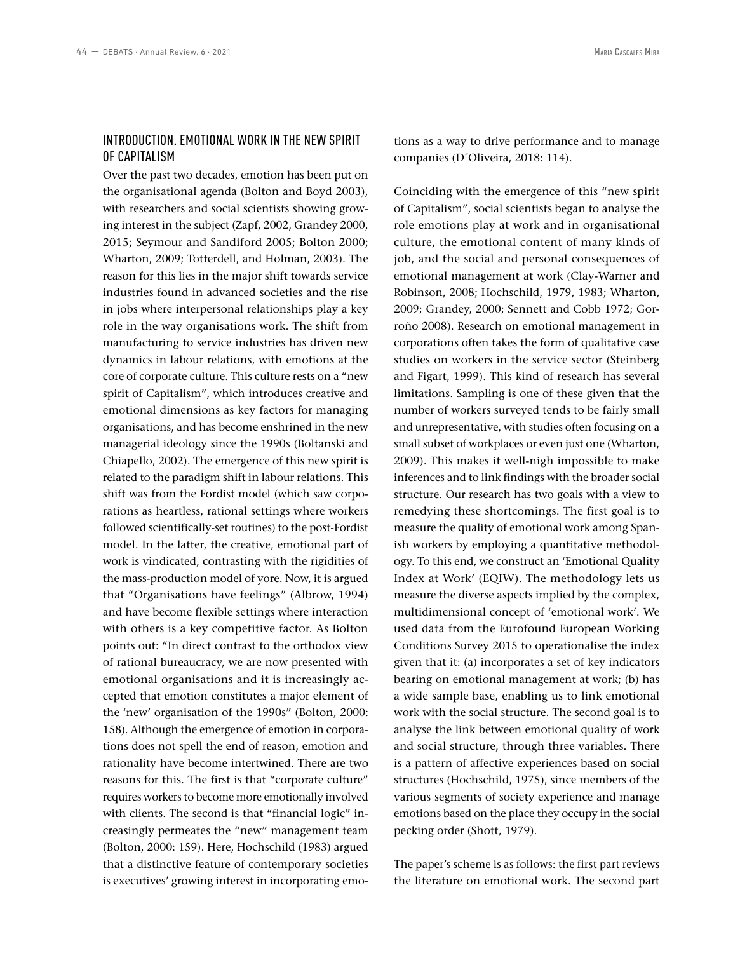## INTRODUCTION. EMOTIONAL WORK IN THE NEW SPIRIT OF CAPITALISM

Over the past two decades, emotion has been put on the organisational agenda (Bolton and Boyd 2003), with researchers and social scientists showing growing interest in the subject (Zapf, 2002, Grandey 2000, 2015; Seymour and Sandiford 2005; Bolton 2000; Wharton, 2009; Totterdell, and Holman, 2003). The reason for this lies in the major shift towards service industries found in advanced societies and the rise in jobs where interpersonal relationships play a key role in the way organisations work. The shift from manufacturing to service industries has driven new dynamics in labour relations, with emotions at the core of corporate culture. This culture rests on a "new spirit of Capitalism", which introduces creative and emotional dimensions as key factors for managing organisations, and has become enshrined in the new managerial ideology since the 1990s (Boltanski and Chiapello, 2002). The emergence of this new spirit is related to the paradigm shift in labour relations. This shift was from the Fordist model (which saw corporations as heartless, rational settings where workers followed scientifically-set routines) to the post-Fordist model. In the latter, the creative, emotional part of work is vindicated, contrasting with the rigidities of the mass-production model of yore. Now, it is argued that "Organisations have feelings" (Albrow, 1994) and have become flexible settings where interaction with others is a key competitive factor. As Bolton points out: "In direct contrast to the orthodox view of rational bureaucracy, we are now presented with emotional organisations and it is increasingly accepted that emotion constitutes a major element of the 'new' organisation of the 1990s" (Bolton, 2000: 158). Although the emergence of emotion in corporations does not spell the end of reason, emotion and rationality have become intertwined. There are two reasons for this. The first is that "corporate culture" requires workers to become more emotionally involved with clients. The second is that "financial logic" increasingly permeates the "new" management team (Bolton, 2000: 159). Here, Hochschild (1983) argued that a distinctive feature of contemporary societies is executives' growing interest in incorporating emotions as a way to drive performance and to manage companies (D´Oliveira, 2018: 114).

Coinciding with the emergence of this "new spirit of Capitalism", social scientists began to analyse the role emotions play at work and in organisational culture, the emotional content of many kinds of job, and the social and personal consequences of emotional management at work (Clay-Warner and Robinson, 2008; Hochschild, 1979, 1983; Wharton, 2009; Grandey, 2000; Sennett and Cobb 1972; Gorroño 2008). Research on emotional management in corporations often takes the form of qualitative case studies on workers in the service sector (Steinberg and Figart, 1999). This kind of research has several limitations. Sampling is one of these given that the number of workers surveyed tends to be fairly small and unrepresentative, with studies often focusing on a small subset of workplaces or even just one (Wharton, 2009). This makes it well-nigh impossible to make inferences and to link findings with the broader social structure. Our research has two goals with a view to remedying these shortcomings. The first goal is to measure the quality of emotional work among Spanish workers by employing a quantitative methodology. To this end, we construct an 'Emotional Quality Index at Work' (EQIW). The methodology lets us measure the diverse aspects implied by the complex, multidimensional concept of 'emotional work'. We used data from the Eurofound European Working Conditions Survey 2015 to operationalise the index given that it: (a) incorporates a set of key indicators bearing on emotional management at work; (b) has a wide sample base, enabling us to link emotional work with the social structure. The second goal is to analyse the link between emotional quality of work and social structure, through three variables. There is a pattern of affective experiences based on social structures (Hochschild, 1975), since members of the various segments of society experience and manage emotions based on the place they occupy in the social pecking order (Shott, 1979).

The paper's scheme is as follows: the first part reviews the literature on emotional work. The second part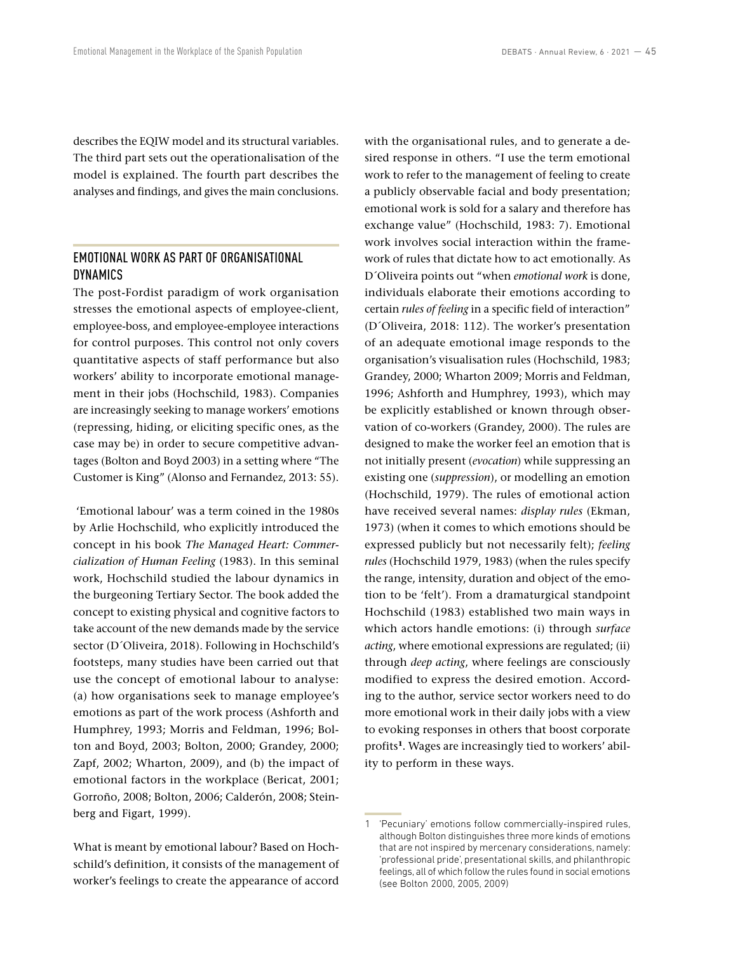describes the EQIW model and its structural variables. The third part sets out the operationalisation of the model is explained. The fourth part describes the analyses and findings, and gives the main conclusions.

# EMOTIONAL WORK AS PART OF ORGANISATIONAL **DYNAMICS**

The post-Fordist paradigm of work organisation stresses the emotional aspects of employee-client, employee-boss, and employee-employee interactions for control purposes. This control not only covers quantitative aspects of staff performance but also workers' ability to incorporate emotional management in their jobs (Hochschild, 1983). Companies are increasingly seeking to manage workers' emotions (repressing, hiding, or eliciting specific ones, as the case may be) in order to secure competitive advantages (Bolton and Boyd 2003) in a setting where "The Customer is King" (Alonso and Fernandez, 2013: 55).

 'Emotional labour' was a term coined in the 1980s by Arlie Hochschild, who explicitly introduced the concept in his book *The Managed Heart: Commercialization of Human Feeling* (1983). In this seminal work, Hochschild studied the labour dynamics in the burgeoning Tertiary Sector. The book added the concept to existing physical and cognitive factors to take account of the new demands made by the service sector (D´Oliveira, 2018). Following in Hochschild's footsteps, many studies have been carried out that use the concept of emotional labour to analyse: (a) how organisations seek to manage employee's emotions as part of the work process (Ashforth and Humphrey, 1993; Morris and Feldman, 1996; Bolton and Boyd, 2003; Bolton, 2000; Grandey, 2000; Zapf, 2002; Wharton, 2009), and (b) the impact of emotional factors in the workplace (Bericat, 2001; Gorroño, 2008; Bolton, 2006; Calderón, 2008; Steinberg and Figart, 1999).

What is meant by emotional labour? Based on Hochschild's definition, it consists of the management of worker's feelings to create the appearance of accord with the organisational rules, and to generate a desired response in others. "I use the term emotional work to refer to the management of feeling to create a publicly observable facial and body presentation; emotional work is sold for a salary and therefore has exchange value" (Hochschild, 1983: 7). Emotional work involves social interaction within the framework of rules that dictate how to act emotionally. As D´Oliveira points out "when *emotional work* is done, individuals elaborate their emotions according to certain *rules of feeling* in a specific field of interaction" (D´Oliveira, 2018: 112). The worker's presentation of an adequate emotional image responds to the organisation's visualisation rules (Hochschild, 1983; Grandey, 2000; Wharton 2009; Morris and Feldman, 1996; Ashforth and Humphrey, 1993), which may be explicitly established or known through observation of co-workers (Grandey, 2000). The rules are designed to make the worker feel an emotion that is not initially present (*evocation*) while suppressing an existing one (*suppression*), or modelling an emotion (Hochschild, 1979). The rules of emotional action have received several names: *display rules* (Ekman, 1973) (when it comes to which emotions should be expressed publicly but not necessarily felt); *feeling rules* (Hochschild 1979, 1983) (when the rules specify the range, intensity, duration and object of the emotion to be 'felt'). From a dramaturgical standpoint Hochschild (1983) established two main ways in which actors handle emotions: (i) through *surface acting*, where emotional expressions are regulated; (ii) through *deep acting*, where feelings are consciously modified to express the desired emotion. According to the author, service sector workers need to do more emotional work in their daily jobs with a view to evoking responses in others that boost corporate profits**1**. Wages are increasingly tied to workers' ability to perform in these ways.

<sup>1</sup> 'Pecuniary' emotions follow commercially-inspired rules, although Bolton distinguishes three more kinds of emotions that are not inspired by mercenary considerations, namely: 'professional pride', presentational skills, and philanthropic feelings, all of which follow the rules found in social emotions (see Bolton 2000, 2005, 2009)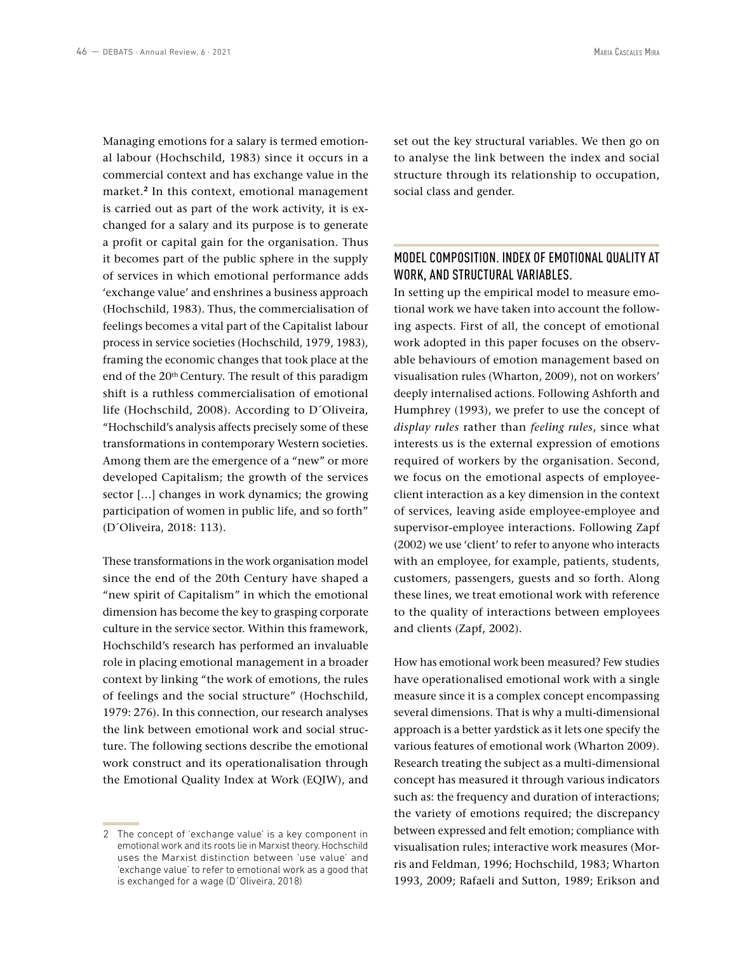Managing emotions for a salary is termed emotional labour (Hochschild, 1983) since it occurs in a commercial context and has exchange value in the market.**<sup>2</sup>** In this context, emotional management is carried out as part of the work activity, it is exchanged for a salary and its purpose is to generate a profit or capital gain for the organisation. Thus it becomes part of the public sphere in the supply of services in which emotional performance adds 'exchange value' and enshrines a business approach (Hochschild, 1983). Thus, the commercialisation of feelings becomes a vital part of the Capitalist labour process in service societies (Hochschild, 1979, 1983), framing the economic changes that took place at the end of the 20<sup>th</sup> Century. The result of this paradigm shift is a ruthless commercialisation of emotional life (Hochschild, 2008). According to D´Oliveira, "Hochschild's analysis affects precisely some of these transformations in contemporary Western societies. Among them are the emergence of a "new" or more developed Capitalism; the growth of the services sector […] changes in work dynamics; the growing participation of women in public life, and so forth" (D´Oliveira, 2018: 113).

These transformations in the work organisation model since the end of the 20th Century have shaped a "new spirit of Capitalism" in which the emotional dimension has become the key to grasping corporate culture in the service sector. Within this framework, Hochschild's research has performed an invaluable role in placing emotional management in a broader context by linking "the work of emotions, the rules of feelings and the social structure" (Hochschild, 1979: 276). In this connection, our research analyses the link between emotional work and social structure. The following sections describe the emotional work construct and its operationalisation through the Emotional Quality Index at Work (EQIW), and

2 The concept of 'exchange value' is a key component in emotional work and its roots lie in Marxist theory. Hochschild uses the Marxist distinction between 'use value' and 'exchange value' to refer to emotional work as a good that is exchanged for a wage (D´Oliveira, 2018)

set out the key structural variables. We then go on to analyse the link between the index and social structure through its relationship to occupation, social class and gender.

# MODEL COMPOSITION. INDEX OF EMOTIONAL QUALITY AT WORK, AND STRUCTURAL VARIABLES.

In setting up the empirical model to measure emotional work we have taken into account the following aspects. First of all, the concept of emotional work adopted in this paper focuses on the observable behaviours of emotion management based on visualisation rules (Wharton, 2009), not on workers' deeply internalised actions. Following Ashforth and Humphrey (1993), we prefer to use the concept of *display rules* rather than *feeling rules*, since what interests us is the external expression of emotions required of workers by the organisation. Second, we focus on the emotional aspects of employeeclient interaction as a key dimension in the context of services, leaving aside employee-employee and supervisor-employee interactions. Following Zapf (2002) we use 'client' to refer to anyone who interacts with an employee, for example, patients, students, customers, passengers, guests and so forth. Along these lines, we treat emotional work with reference to the quality of interactions between employees and clients (Zapf, 2002).

How has emotional work been measured? Few studies have operationalised emotional work with a single measure since it is a complex concept encompassing several dimensions. That is why a multi-dimensional approach is a better yardstick as it lets one specify the various features of emotional work (Wharton 2009). Research treating the subject as a multi-dimensional concept has measured it through various indicators such as: the frequency and duration of interactions; the variety of emotions required; the discrepancy between expressed and felt emotion; compliance with visualisation rules; interactive work measures (Morris and Feldman, 1996; Hochschild, 1983; Wharton 1993, 2009; Rafaeli and Sutton, 1989; Erikson and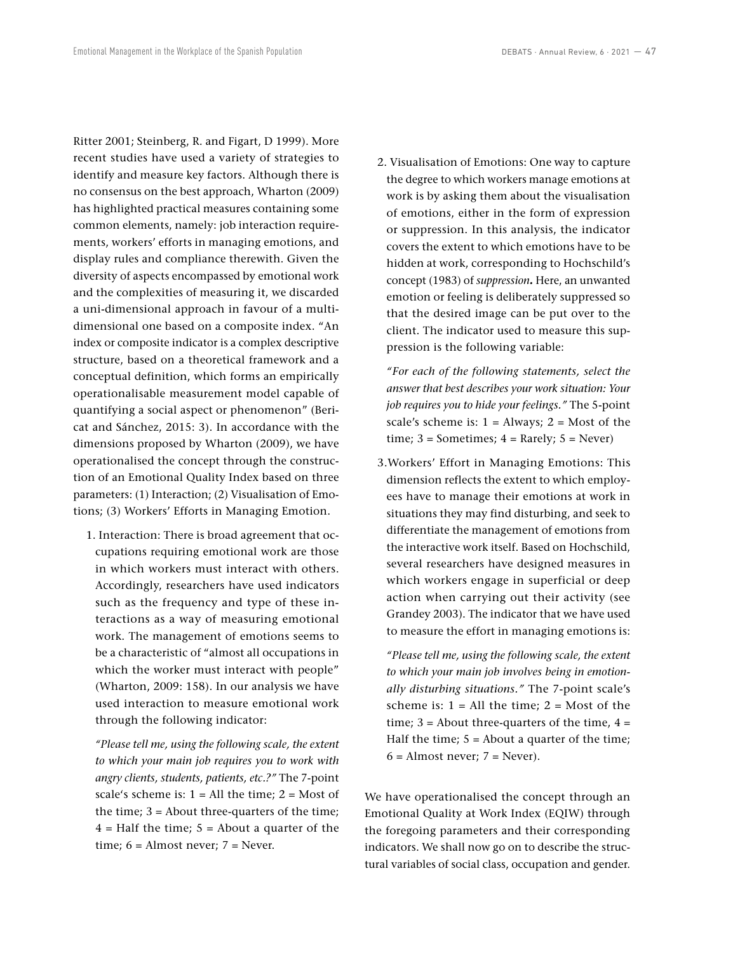Ritter 2001; Steinberg, R. and Figart, D 1999). More recent studies have used a variety of strategies to identify and measure key factors. Although there is no consensus on the best approach, Wharton (2009) has highlighted practical measures containing some common elements, namely: job interaction requirements, workers' efforts in managing emotions, and display rules and compliance therewith. Given the diversity of aspects encompassed by emotional work and the complexities of measuring it, we discarded a uni-dimensional approach in favour of a multidimensional one based on a composite index. "An index or composite indicator is a complex descriptive structure, based on a theoretical framework and a conceptual definition, which forms an empirically operationalisable measurement model capable of quantifying a social aspect or phenomenon" (Bericat and Sánchez, 2015: 3). In accordance with the dimensions proposed by Wharton (2009), we have operationalised the concept through the construction of an Emotional Quality Index based on three parameters: (1) Interaction; (2) Visualisation of Emotions; (3) Workers' Efforts in Managing Emotion.

1. Interaction: There is broad agreement that occupations requiring emotional work are those in which workers must interact with others. Accordingly, researchers have used indicators such as the frequency and type of these interactions as a way of measuring emotional work. The management of emotions seems to be a characteristic of "almost all occupations in which the worker must interact with people" (Wharton, 2009: 158). In our analysis we have used interaction to measure emotional work through the following indicator:

*"Please tell me, using the following scale, the extent to which your main job requires you to work with angry clients, students, patients, etc.?"* The 7-point scale's scheme is:  $1 = All$  the time;  $2 = Most$  of the time;  $3 =$  About three-quarters of the time;  $4 = \text{Half the time}$ ;  $5 = \text{About a quarter of the}$ time;  $6 =$  Almost never;  $7 =$  Never.

2. Visualisation of Emotions: One way to capture the degree to which workers manage emotions at work is by asking them about the visualisation of emotions, either in the form of expression or suppression. In this analysis, the indicator covers the extent to which emotions have to be hidden at work, corresponding to Hochschild's concept (1983) of *suppression.* Here, an unwanted emotion or feeling is deliberately suppressed so that the desired image can be put over to the client. The indicator used to measure this suppression is the following variable:

*"For each of the following statements, select the answer that best describes your work situation: Your job requires you to hide your feelings."* The 5-point scale's scheme is:  $1 =$  Always;  $2 =$  Most of the time;  $3 =$  Sometimes;  $4 =$  Rarely;  $5 =$  Never)

3.Workers' Effort in Managing Emotions: This dimension reflects the extent to which employees have to manage their emotions at work in situations they may find disturbing, and seek to differentiate the management of emotions from the interactive work itself. Based on Hochschild, several researchers have designed measures in which workers engage in superficial or deep action when carrying out their activity (see Grandey 2003). The indicator that we have used to measure the effort in managing emotions is:

*"Please tell me, using the following scale, the extent to which your main job involves being in emotionally disturbing situations."* The 7-point scale's scheme is:  $1 = All$  the time;  $2 = Most$  of the time;  $3 =$  About three-quarters of the time,  $4 =$ Half the time; 5 = About a quarter of the time;  $6 =$  Almost never;  $7 =$  Never).

We have operationalised the concept through an Emotional Quality at Work Index (EQIW) through the foregoing parameters and their corresponding indicators. We shall now go on to describe the structural variables of social class, occupation and gender.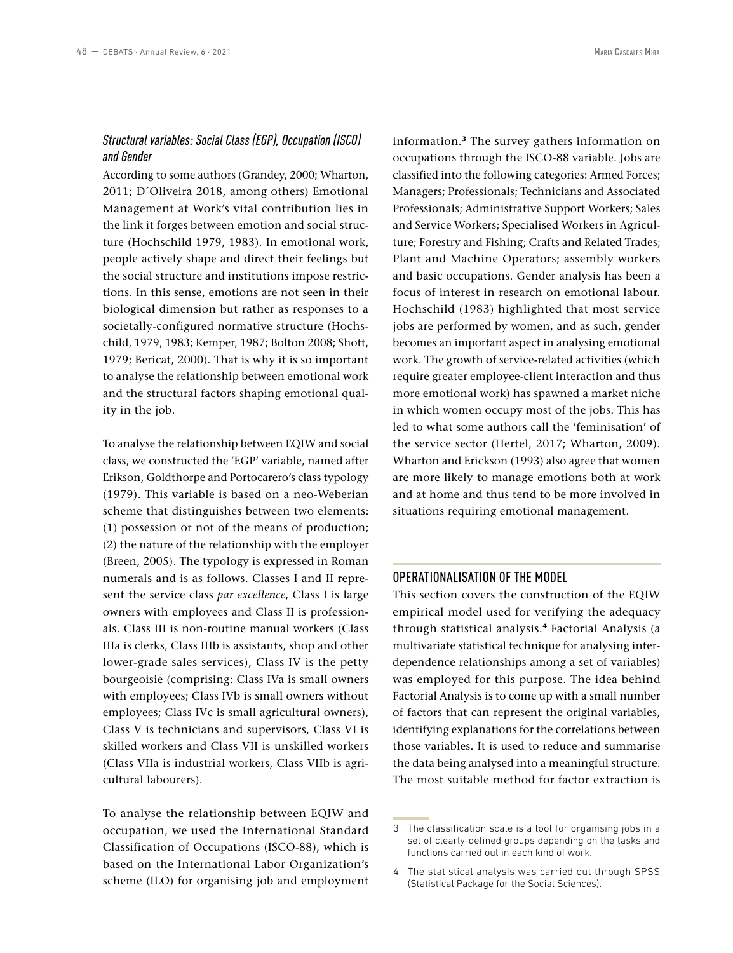# *Structural variables: Social Class (EGP), Occupation (ISCO) and Gender*

According to some authors (Grandey, 2000; Wharton, 2011; D´Oliveira 2018, among others) Emotional Management at Work's vital contribution lies in the link it forges between emotion and social structure (Hochschild 1979, 1983). In emotional work, people actively shape and direct their feelings but the social structure and institutions impose restrictions. In this sense, emotions are not seen in their biological dimension but rather as responses to a societally-configured normative structure (Hochschild, 1979, 1983; Kemper, 1987; Bolton 2008; Shott, 1979; Bericat, 2000). That is why it is so important to analyse the relationship between emotional work and the structural factors shaping emotional quality in the job.

To analyse the relationship between EQIW and social class, we constructed the 'EGP' variable, named after Erikson, Goldthorpe and Portocarero's class typology (1979). This variable is based on a neo-Weberian scheme that distinguishes between two elements: (1) possession or not of the means of production; (2) the nature of the relationship with the employer (Breen, 2005). The typology is expressed in Roman numerals and is as follows. Classes I and II represent the service class *par excellence*, Class I is large owners with employees and Class II is professionals. Class III is non-routine manual workers (Class IIIa is clerks, Class IIIb is assistants, shop and other lower-grade sales services), Class IV is the petty bourgeoisie (comprising: Class IVa is small owners with employees; Class IVb is small owners without employees; Class IVc is small agricultural owners), Class V is technicians and supervisors, Class VI is skilled workers and Class VII is unskilled workers (Class VIIa is industrial workers, Class VIIb is agricultural labourers).

To analyse the relationship between EQIW and occupation, we used the International Standard Classification of Occupations (ISCO-88), which is based on the International Labor Organization's scheme (ILO) for organising job and employment information.**<sup>3</sup>** The survey gathers information on occupations through the ISCO-88 variable. Jobs are classified into the following categories: Armed Forces; Managers; Professionals; Technicians and Associated Professionals; Administrative Support Workers; Sales and Service Workers; Specialised Workers in Agriculture; Forestry and Fishing; Crafts and Related Trades; Plant and Machine Operators; assembly workers and basic occupations. Gender analysis has been a focus of interest in research on emotional labour. Hochschild (1983) highlighted that most service jobs are performed by women, and as such, gender becomes an important aspect in analysing emotional work. The growth of service-related activities (which require greater employee-client interaction and thus more emotional work) has spawned a market niche in which women occupy most of the jobs. This has led to what some authors call the 'feminisation' of the service sector (Hertel, 2017; Wharton, 2009). Wharton and Erickson (1993) also agree that women are more likely to manage emotions both at work and at home and thus tend to be more involved in situations requiring emotional management.

# OPERATIONALISATION OF THE MODEL

This section covers the construction of the EQIW empirical model used for verifying the adequacy through statistical analysis.**<sup>4</sup>** Factorial Analysis (a multivariate statistical technique for analysing interdependence relationships among a set of variables) was employed for this purpose. The idea behind Factorial Analysis is to come up with a small number of factors that can represent the original variables, identifying explanations for the correlations between those variables. It is used to reduce and summarise the data being analysed into a meaningful structure. The most suitable method for factor extraction is

<sup>3</sup> The classification scale is a tool for organising jobs in a set of clearly-defined groups depending on the tasks and functions carried out in each kind of work.

<sup>4</sup> The statistical analysis was carried out through SPSS (Statistical Package for the Social Sciences).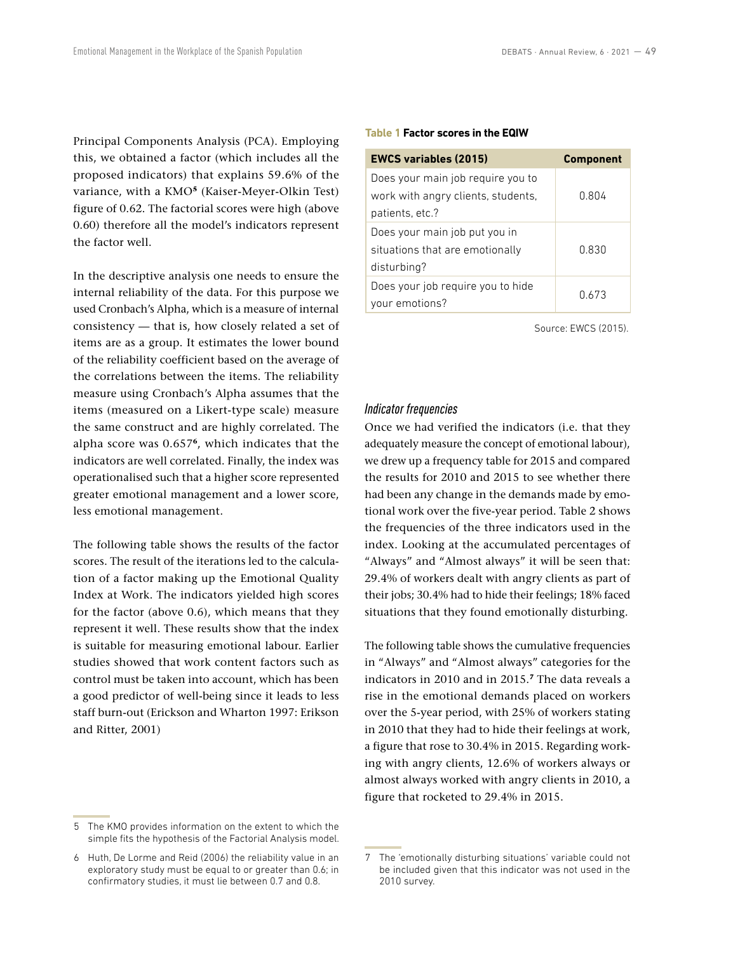Principal Components Analysis (PCA). Employing this, we obtained a factor (which includes all the proposed indicators) that explains 59.6% of the variance, with a KMO**<sup>5</sup>** (Kaiser-Meyer-Olkin Test) figure of 0.62. The factorial scores were high (above 0.60) therefore all the model's indicators represent the factor well.

In the descriptive analysis one needs to ensure the internal reliability of the data. For this purpose we used Cronbach's Alpha, which is a measure of internal consistency — that is, how closely related a set of items are as a group. It estimates the lower bound of the reliability coefficient based on the average of the correlations between the items. The reliability measure using Cronbach's Alpha assumes that the items (measured on a Likert-type scale) measure the same construct and are highly correlated. The alpha score was 0.657**<sup>6</sup>**, which indicates that the indicators are well correlated. Finally, the index was operationalised such that a higher score represented greater emotional management and a lower score, less emotional management.

The following table shows the results of the factor scores. The result of the iterations led to the calculation of a factor making up the Emotional Quality Index at Work. The indicators yielded high scores for the factor (above 0.6), which means that they represent it well. These results show that the index is suitable for measuring emotional labour. Earlier studies showed that work content factors such as control must be taken into account, which has been a good predictor of well-being since it leads to less staff burn-out (Erickson and Wharton 1997: Erikson and Ritter, 2001)

#### **Table 1 Factor scores in the EQIW**

| <b>EWCS variables (2015)</b>                                                               | <b>Component</b> |
|--------------------------------------------------------------------------------------------|------------------|
| Does your main job require you to<br>work with angry clients, students,<br>patients, etc.? | 0.804            |
| Does your main job put you in<br>situations that are emotionally<br>disturbing?            | 0.830            |
| Does your job require you to hide<br>your emotions?                                        | 0.673            |

Source: EWCS (2015).

#### *Indicator frequencies*

Once we had verified the indicators (i.e. that they adequately measure the concept of emotional labour), we drew up a frequency table for 2015 and compared the results for 2010 and 2015 to see whether there had been any change in the demands made by emotional work over the five-year period. Table 2 shows the frequencies of the three indicators used in the index. Looking at the accumulated percentages of "Always" and "Almost always" it will be seen that: 29.4% of workers dealt with angry clients as part of their jobs; 30.4% had to hide their feelings; 18% faced situations that they found emotionally disturbing.

The following table shows the cumulative frequencies in "Always" and "Almost always" categories for the indicators in 2010 and in 2015.**<sup>7</sup>** The data reveals a rise in the emotional demands placed on workers over the 5-year period, with 25% of workers stating in 2010 that they had to hide their feelings at work, a figure that rose to 30.4% in 2015. Regarding working with angry clients, 12.6% of workers always or almost always worked with angry clients in 2010, a figure that rocketed to 29.4% in 2015.

<sup>5</sup> The KMO provides information on the extent to which the simple fits the hypothesis of the Factorial Analysis model.

<sup>6</sup> Huth, De Lorme and Reid (2006) the reliability value in an exploratory study must be equal to or greater than 0.6; in confirmatory studies, it must lie between 0.7 and 0.8.

<sup>7</sup> The 'emotionally disturbing situations' variable could not be included given that this indicator was not used in the 2010 survey.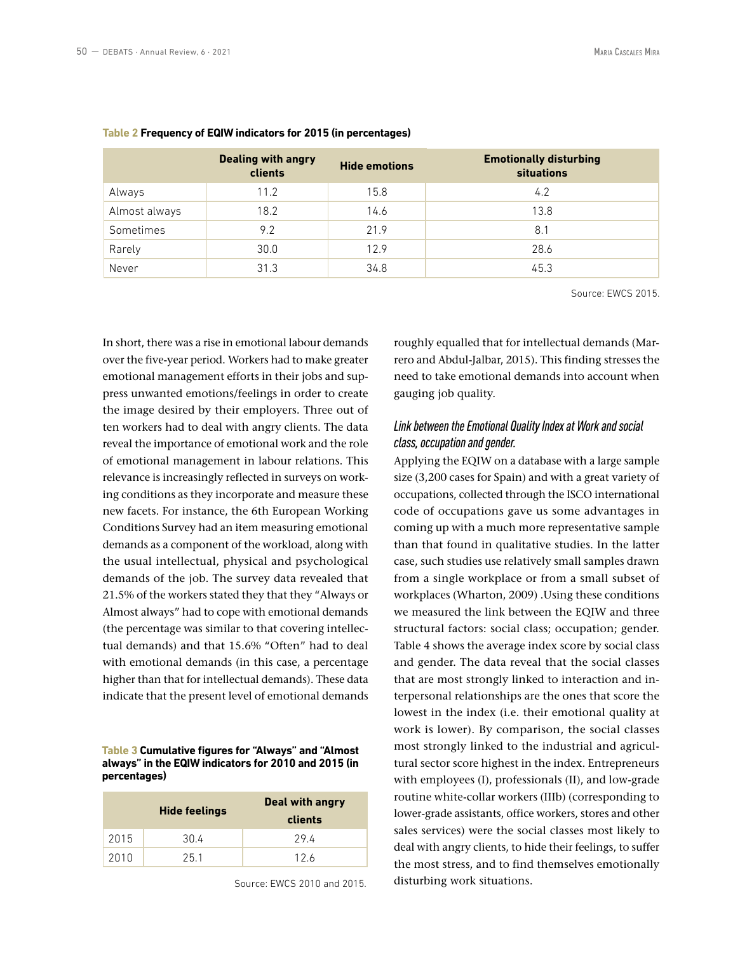Source: EWCS 2015.

|               | <b>Dealing with angry</b><br>clients | <b>Hide emotions</b> | <b>Emotionally disturbing</b><br><b>situations</b> |
|---------------|--------------------------------------|----------------------|----------------------------------------------------|
| Always        | 11.2                                 | 15.8                 | 4.2                                                |
| Almost always | 18.2                                 | 14.6                 | 13.8                                               |
| Sometimes     | 9.2                                  | 21.9                 | 8.1                                                |
| Rarely        | 30.0                                 | 12.9                 | 28.6                                               |
| Never         | 31.3                                 | 34.8                 | 45.3                                               |

#### **Table 2 Frequency of EQIW indicators for 2015 (in percentages)**

In short, there was a rise in emotional labour demands over the five-year period. Workers had to make greater emotional management efforts in their jobs and suppress unwanted emotions/feelings in order to create the image desired by their employers. Three out of ten workers had to deal with angry clients. The data reveal the importance of emotional work and the role of emotional management in labour relations. This relevance is increasingly reflected in surveys on working conditions as they incorporate and measure these new facets. For instance, the 6th European Working Conditions Survey had an item measuring emotional demands as a component of the workload, along with the usual intellectual, physical and psychological demands of the job. The survey data revealed that 21.5% of the workers stated they that they "Always or Almost always" had to cope with emotional demands (the percentage was similar to that covering intellectual demands) and that 15.6% "Often" had to deal with emotional demands (in this case, a percentage higher than that for intellectual demands). These data indicate that the present level of emotional demands

### **Table 3 Cumulative figures for "Always" and "Almost always" in the EQIW indicators for 2010 and 2015 (in percentages)**

|      | <b>Hide feelings</b> | Deal with angry<br>clients |
|------|----------------------|----------------------------|
| 2015 | 30.4                 | 29.4                       |
| 2010 | 25.1                 | 12.6                       |

Source: EWCS 2010 and 2015.

roughly equalled that for intellectual demands (Marrero and Abdul-Jalbar, 2015). This finding stresses the need to take emotional demands into account when gauging job quality.

# *Link between the Emotional Quality Index at Work and social class, occupation and gender.*

Applying the EQIW on a database with a large sample size (3,200 cases for Spain) and with a great variety of occupations, collected through the ISCO international code of occupations gave us some advantages in coming up with a much more representative sample than that found in qualitative studies. In the latter case, such studies use relatively small samples drawn from a single workplace or from a small subset of workplaces (Wharton, 2009) .Using these conditions we measured the link between the EQIW and three structural factors: social class; occupation; gender. Table 4 shows the average index score by social class and gender. The data reveal that the social classes that are most strongly linked to interaction and interpersonal relationships are the ones that score the lowest in the index (i.e. their emotional quality at work is lower). By comparison, the social classes most strongly linked to the industrial and agricultural sector score highest in the index. Entrepreneurs with employees (I), professionals (II), and low-grade routine white-collar workers (IIIb) (corresponding to lower-grade assistants, office workers, stores and other sales services) were the social classes most likely to deal with angry clients, to hide their feelings, to suffer the most stress, and to find themselves emotionally disturbing work situations.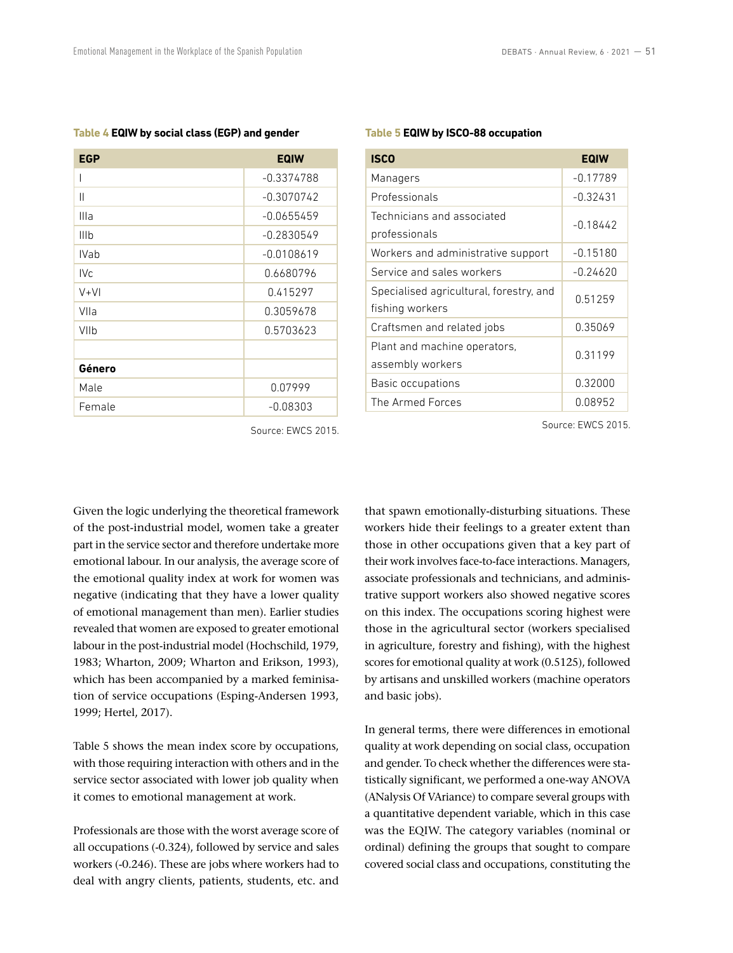Source: EWCS 2015.

| <b>EGP</b>  | <b>EQIW</b>  |
|-------------|--------------|
|             | $-0.3374788$ |
| Ш           | $-0.3070742$ |
| Illa        | $-0.0655459$ |
| Illb        | $-0.2830549$ |
| <b>IVab</b> | $-0.0108619$ |
| IVc.        | 0.6680796    |
| $V+V$       | 0.415297     |
| VIIa        | 0.3059678    |
| VIIb        | 0.5703623    |
|             |              |
| Género      |              |
| Male        | 0.07999      |
| Female      | $-0.08303$   |

#### **Table 4 EQIW by social class (EGP) and gender**

#### **Table 5 EQIW by ISCO-88 occupation**

| <b>ISCO</b>                                                | <b>EQIW</b> |
|------------------------------------------------------------|-------------|
| Managers                                                   | $-0.17789$  |
| Professionals                                              | $-0.32431$  |
| Technicians and associated<br>professionals                | $-0.18442$  |
| Workers and administrative support                         | $-0.15180$  |
| Service and sales workers                                  | -0.24620    |
| Specialised agricultural, forestry, and<br>fishing workers | 0.51259     |
| Craftsmen and related jobs                                 | 0.35069     |
| Plant and machine operators,<br>assembly workers           | 0.31199     |
| Basic occupations                                          | 0.32000     |
| The Armed Forces                                           | 0.08952     |
|                                                            |             |

Source: EWCS 2015.

Given the logic underlying the theoretical framework of the post-industrial model, women take a greater part in the service sector and therefore undertake more emotional labour. In our analysis, the average score of the emotional quality index at work for women was negative (indicating that they have a lower quality of emotional management than men). Earlier studies revealed that women are exposed to greater emotional labour in the post-industrial model (Hochschild, 1979, 1983; Wharton, 2009; Wharton and Erikson, 1993), which has been accompanied by a marked feminisation of service occupations (Esping-Andersen 1993, 1999; Hertel, 2017).

Table 5 shows the mean index score by occupations, with those requiring interaction with others and in the service sector associated with lower job quality when it comes to emotional management at work.

Professionals are those with the worst average score of all occupations (-0.324), followed by service and sales workers (-0.246). These are jobs where workers had to deal with angry clients, patients, students, etc. and that spawn emotionally-disturbing situations. These workers hide their feelings to a greater extent than those in other occupations given that a key part of their work involves face-to-face interactions. Managers, associate professionals and technicians, and administrative support workers also showed negative scores on this index. The occupations scoring highest were those in the agricultural sector (workers specialised in agriculture, forestry and fishing), with the highest scores for emotional quality at work (0.5125), followed by artisans and unskilled workers (machine operators and basic jobs).

In general terms, there were differences in emotional quality at work depending on social class, occupation and gender. To check whether the differences were statistically significant, we performed a one-way ANOVA (ANalysis Of VAriance) to compare several groups with a quantitative dependent variable, which in this case was the EQIW. The category variables (nominal or ordinal) defining the groups that sought to compare covered social class and occupations, constituting the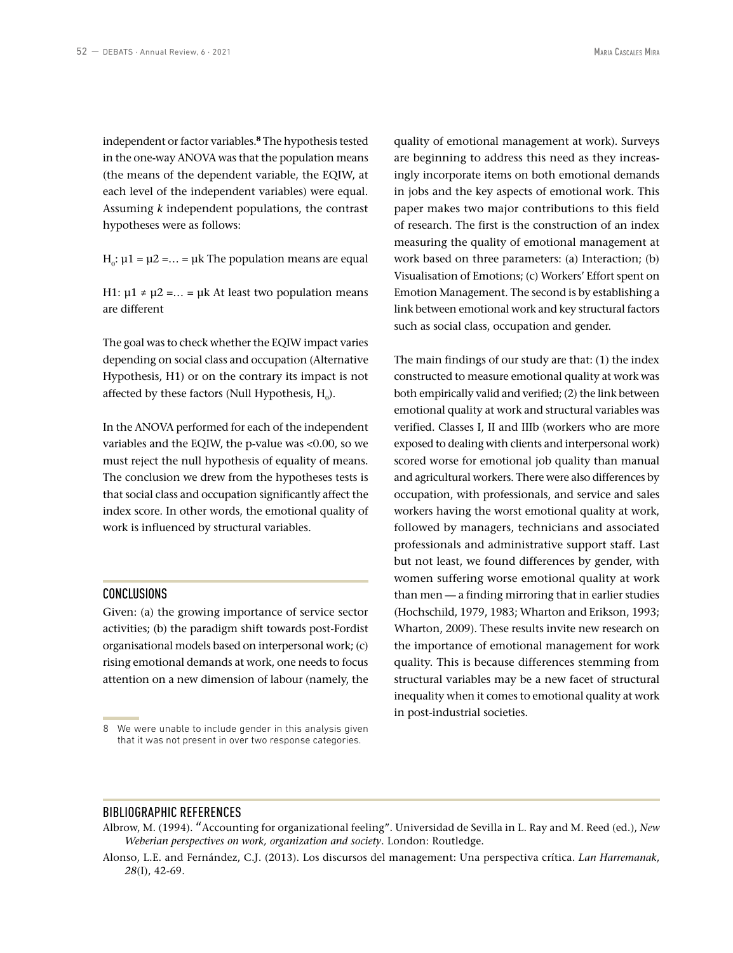independent or factor variables.**<sup>8</sup>** The hypothesis tested in the one-way ANOVA was that the population means (the means of the dependent variable, the EQIW, at each level of the independent variables) were equal. Assuming *k* independent populations, the contrast hypotheses were as follows:

 $H_0$ :  $\mu$ 1 =  $\mu$ 2 =... =  $\mu$ k The population means are equal

H1:  $\mu$ 1 ≠  $\mu$ 2 =... =  $\mu$ k At least two population means are different

The goal was to check whether the EQIW impact varies depending on social class and occupation (Alternative Hypothesis, H1) or on the contrary its impact is not affected by these factors (Null Hypothesis,  $H_0$ ).

In the ANOVA performed for each of the independent variables and the EQIW, the p-value was <0.00, so we must reject the null hypothesis of equality of means. The conclusion we drew from the hypotheses tests is that social class and occupation significantly affect the index score. In other words, the emotional quality of work is influenced by structural variables.

## CONCLUSIONS

Given: (a) the growing importance of service sector activities; (b) the paradigm shift towards post-Fordist organisational models based on interpersonal work; (c) rising emotional demands at work, one needs to focus attention on a new dimension of labour (namely, the

quality of emotional management at work). Surveys are beginning to address this need as they increasingly incorporate items on both emotional demands in jobs and the key aspects of emotional work. This paper makes two major contributions to this field of research. The first is the construction of an index measuring the quality of emotional management at work based on three parameters: (a) Interaction; (b) Visualisation of Emotions; (c) Workers' Effort spent on Emotion Management. The second is by establishing a link between emotional work and key structural factors such as social class, occupation and gender.

The main findings of our study are that: (1) the index constructed to measure emotional quality at work was both empirically valid and verified; (2) the link between emotional quality at work and structural variables was verified. Classes I, II and IIIb (workers who are more exposed to dealing with clients and interpersonal work) scored worse for emotional job quality than manual and agricultural workers. There were also differences by occupation, with professionals, and service and sales workers having the worst emotional quality at work, followed by managers, technicians and associated professionals and administrative support staff. Last but not least, we found differences by gender, with women suffering worse emotional quality at work than men — a finding mirroring that in earlier studies (Hochschild, 1979, 1983; Wharton and Erikson, 1993; Wharton, 2009). These results invite new research on the importance of emotional management for work quality. This is because differences stemming from structural variables may be a new facet of structural inequality when it comes to emotional quality at work in post-industrial societies.

## BIBLIOGRAPHIC REFERENCES

<sup>8</sup> We were unable to include gender in this analysis given that it was not present in over two response categories.

Albrow, M. (1994). "Accounting for organizational feeling". Universidad de Sevilla in L. Ray and M. Reed (ed.), *New Weberian perspectives on work, organization and society*. London: Routledge.

Alonso, L.E. and Fernández, C.J. (2013). Los discursos del management: Una perspectiva crítica. *Lan Harremanak*, *28*(I), 42-69.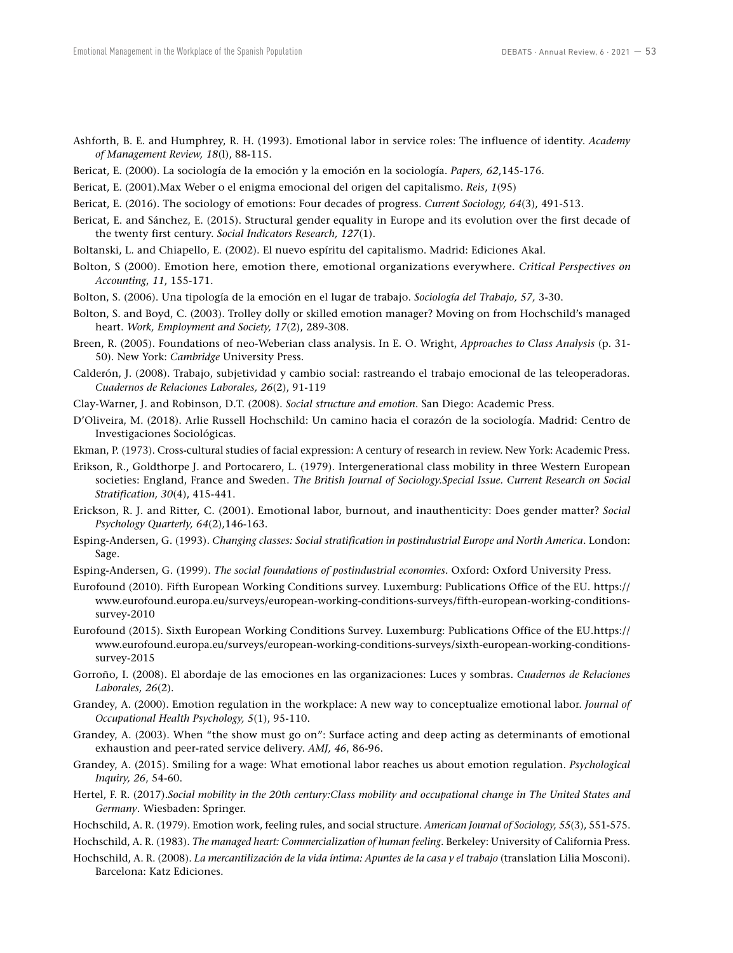- Ashforth, B. E. and Humphrey, R. H. (1993). Emotional labor in service roles: The influence of identity. *Academy of Management Review, 18*(l), 88-115.
- Bericat, E. (2000). La sociología de la emoción y la emoción en la sociología. *Papers, 62*,145-176.
- Bericat, E. (2001).Max Weber o el enigma emocional del origen del capitalismo. *Reis*, *1*(95)
- Bericat, E. (2016). The sociology of emotions: Four decades of progress. *Current Sociology, 64*(3), 491-513.
- Bericat, E. and Sánchez, E. (2015). Structural gender equality in Europe and its evolution over the first decade of the twenty first century. *Social Indicators Research, 127*(1).
- Boltanski, L. and Chiapello, E. (2002). El nuevo espíritu del capitalismo. Madrid: Ediciones Akal.
- Bolton, S (2000). Emotion here, emotion there, emotional organizations everywhere. *Critical Perspectives on Accounting*, *11*, 155-171.
- Bolton, S. (2006). Una tipología de la emoción en el lugar de trabajo. *Sociología del Trabajo, 57,* 3-30.
- Bolton, S. and Boyd, C. (2003). Trolley dolly or skilled emotion manager? Moving on from Hochschild's managed heart. *Work, Employment and Society, 17*(2), 289-308.
- Breen, R. (2005). Foundations of neo-Weberian class analysis. In E. O. Wright, *Approaches to Class Analysis* (p*.* 31- 50). New York: *Cambridge* University Press.
- Calderón, J. (2008). Trabajo, subjetividad y cambio social: rastreando el trabajo emocional de las teleoperadoras. *Cuadernos de Relaciones Laborales, 26*(2), 91-119
- Clay-Warner, J. and Robinson, D.T. (2008). *Social structure and emotion*. San Diego: Academic Press.
- D'Oliveira, M. (2018). Arlie Russell Hochschild: Un camino hacia el corazón de la sociología. Madrid: Centro de Investigaciones Sociológicas.
- Ekman, P. (1973). Cross-cultural studies of facial expression: A century of research in review. New York: Academic Press.
- Erikson, R., Goldthorpe J. and Portocarero, L. (1979). Intergenerational class mobility in three Western European societies: England, France and Sweden. *The British Journal of Sociology.Special Issue. Current Research on Social Stratification, 30*(4), 415-441.
- Erickson, R. J. and Ritter, C. (2001). Emotional labor, burnout, and inauthenticity: Does gender matter? *Social Psychology Quarterly, 64*(2),146-163.
- Esping-Andersen, G. (1993). *Changing classes: Social stratification in postindustrial Europe and North America*. London: Sage.
- Esping-Andersen, G. (1999). *The social foundations of postindustrial economies.* Oxford: Oxford University Press.
- Eurofound (2010). Fifth European Working Conditions survey. Luxemburg: Publications Office of the EU. https:// www.eurofound.europa.eu/surveys/european-working-conditions-surveys/fifth-european-working-conditionssurvey-2010
- Eurofound (2015). Sixth European Working Conditions Survey. Luxemburg: Publications Office of the EU.https:// www.eurofound.europa.eu/surveys/european-working-conditions-surveys/sixth-european-working-conditionssurvey-2015
- Gorroño, I. (2008). El abordaje de las emociones en las organizaciones: Luces y sombras. *Cuadernos de Relaciones Laborales, 26*(2).
- Grandey, A. (2000). Emotion regulation in the workplace: A new way to conceptualize emotional labor. *Journal of Occupational Health Psychology, 5*(1), 95-110.
- Grandey, A. (2003). When "the show must go on": Surface acting and deep acting as determinants of emotional exhaustion and peer-rated service delivery. *AMJ, 46*, 86-96.
- Grandey, A. (2015). Smiling for a wage: What emotional labor reaches us about emotion regulation. *Psychological Inquiry, 26*, 54-60.
- Hertel, F. R. (2017).*Social mobility in the 20th century:Class mobility and occupational change in The United States and Germany*. Wiesbaden: Springer.
- Hochschild, A. R. (1979). Emotion work, feeling rules, and social structure. *American Journal of Sociology, 55*(3), 551-575.
- Hochschild, A. R. (1983). *The managed heart: Commercialization of human feeling*. Berkeley: University of California Press.
- Hochschild, A. R. (2008). *La mercantilización de la vida íntima: Apuntes de la casa y el trabajo* (translation Lilia Mosconi). Barcelona: Katz Ediciones.